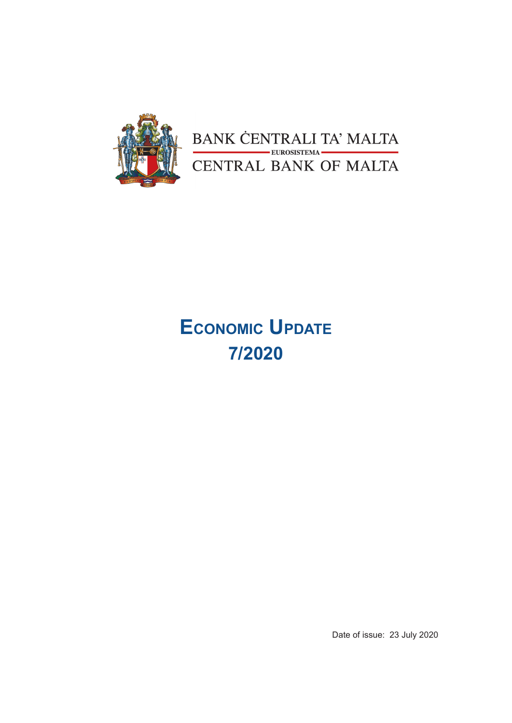

BANK CENTRALI TA' MALTA<br>CENTRAL BANK OF MALTA

# **Economic Update 7/2020**

Date of issue: 23 July 2020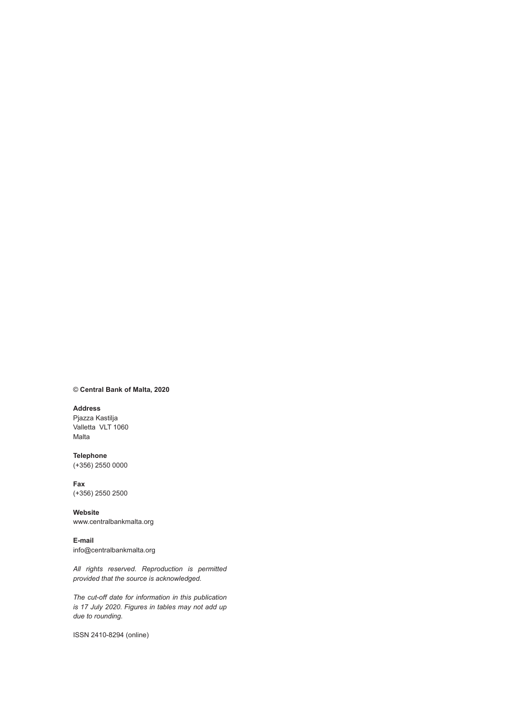#### © **Central Bank of Malta, 2020**

#### **Address**

Pjazza Kastilja Valletta VLT 1060 Malta

**Telephone** (+356) 2550 0000

#### **Fax** (+356) 2550 2500

**Website** www.centralbankmalta.org

**E-mail**  info@centralbankmalta.org

*All rights reserved. Reproduction is permitted provided that the source is acknowledged.* 

*The cut-off date for information in this publication is 17 July 2020. Figures in tables may not add up due to rounding.*

ISSN 2410-8294 (online)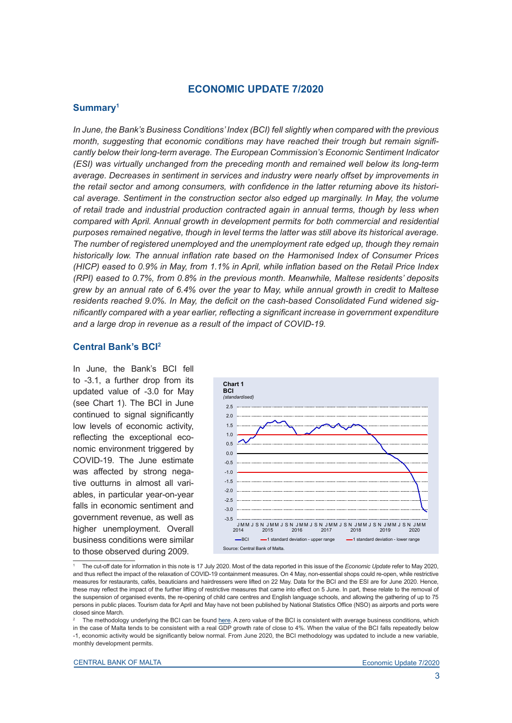# **ECONOMIC UPDATE 7/2020**

### **Summary1**

*In June, the Bank's Business Conditions' Index (BCI) fell slightly when compared with the previous month, suggesting that economic conditions may have reached their trough but remain significantly below their long-term average. The European Commission's Economic Sentiment Indicator (ESI) was virtually unchanged from the preceding month and remained well below its long-term average. Decreases in sentiment in services and industry were nearly offset by improvements in the retail sector and among consumers, with confidence in the latter returning above its histori*cal average. Sentiment in the construction sector also edged up marginally. In May, the volume *of retail trade and industrial production contracted again in annual terms, though by less when*  compared with April. Annual growth in development permits for both commercial and residential *purposes remained negative, though in level terms the latter was still above its historical average. The number of registered unemployed and the unemployment rate edged up, though they remain historically low. The annual inflation rate based on the Harmonised Index of Consumer Prices (HICP) eased to 0.9% in May, from 1.1% in April, while inflation based on the Retail Price Index (RPI) eased to 0.7%, from 0.8% in the previous month. Meanwhile, Maltese residents' deposits grew by an annual rate of 6.4% over the year to May, while annual growth in credit to Maltese residents reached 9.0%. In May, the deficit on the cash-based Consolidated Fund widened significantly compared with a year earlier, reflecting a significant increase in government expenditure and a large drop in revenue as a result of the impact of COVID-19.* 

#### **Central Bank's BCI2**

In June, the Bank's BCI fell to -3.1, a further drop from its updated value of -3.0 for May (see Chart 1). The BCI in June continued to signal significantly low levels of economic activity, reflecting the exceptional economic environment triggered by COVID-19. The June estimate was affected by strong negative outturns in almost all variables, in particular year-on-year falls in economic sentiment and government revenue, as well as higher unemployment. Overall business conditions were similar to those observed during 2009.



1 The cut-off date for information in this note is 17 July 2020. Most of the data reported in this issue of the *Economic Update* refer to May 2020, and thus reflect the impact of the relaxation of COVID-19 containment measures. On 4 May, non-essential shops could re-open, while restrictive measures for restaurants, cafés, beauticians and hairdressers were lifted on 22 May. Data for the BCI and the ESI are for June 2020. Hence, these may reflect the impact of the further lifting of restrictive measures that came into effect on 5 June. In part, these relate to the removal of the suspension of organised events, the re-opening of child care centres and English language schools, and allowing the gathering of up to 75 persons in public places. Tourism data for April and May have not been published by National Statistics Office (NSO) as airports and ports were closed since March.

2 The methodology underlying the BCI can be found [here](https://www.centralbankmalta.org/business-conditions-index). A zero value of the BCI is consistent with average business conditions, which in the case of Malta tends to be consistent with a real GDP growth rate of close to 4%. When the value of the BCI falls repeatedly below -1, economic activity would be significantly below normal. From June 2020, the BCI methodology was updated to include a new variable, monthly development permits.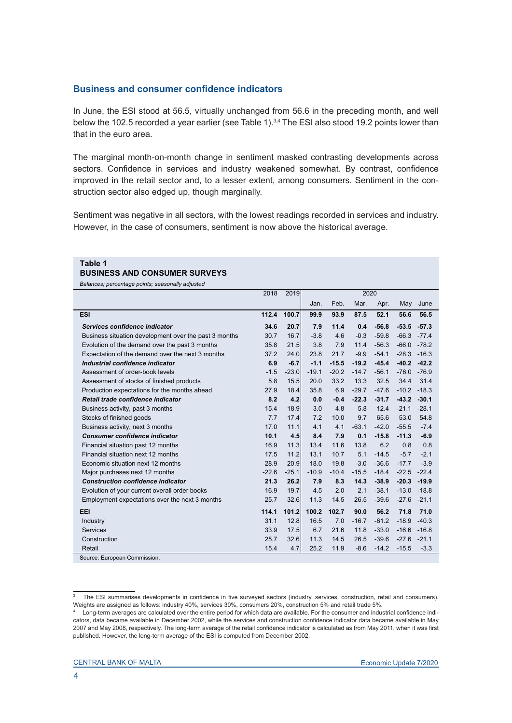## **Business and consumer confidence indicators**

In June, the ESI stood at 56.5, virtually unchanged from 56.6 in the preceding month, and well below the 102.5 recorded a year earlier (see Table 1).<sup>3,4</sup> The ESI also stood 19.2 points lower than that in the euro area.

The marginal month-on-month change in sentiment masked contrasting developments across sectors. Confidence in services and industry weakened somewhat. By contrast, confidence improved in the retail sector and, to a lesser extent, among consumers. Sentiment in the construction sector also edged up, though marginally.

Sentiment was negative in all sectors, with the lowest readings recorded in services and industry. However, in the case of consumers, sentiment is now above the historical average.

#### **Table 1**

#### **BUSINESS AND CONSUMER SURVEYS**

*Balances; percentage points; seasonally adjusted* 

|                                                       | 2018    | 2019    | 2020    |         |         |         |         |         |  |  |  |  |
|-------------------------------------------------------|---------|---------|---------|---------|---------|---------|---------|---------|--|--|--|--|
|                                                       |         |         | Jan.    | Feb.    | Mar.    | Apr.    | May     | June    |  |  |  |  |
| <b>ESI</b>                                            | 112.4   | 100.7   | 99.9    | 93.9    | 87.5    | 52.1    | 56.6    | 56.5    |  |  |  |  |
| Services confidence indicator                         | 34.6    | 20.7    | 7.9     | 11.4    | 0.4     | $-56.8$ | $-53.5$ | $-57.3$ |  |  |  |  |
| Business situation development over the past 3 months | 30.7    | 16.7    | $-3.8$  | 4.6     | $-0.3$  | $-59.8$ | $-66.3$ | $-77.4$ |  |  |  |  |
| Evolution of the demand over the past 3 months        | 35.8    | 21.5    | 3.8     | 7.9     | 11.4    | $-56.3$ | $-66.0$ | $-78.2$ |  |  |  |  |
| Expectation of the demand over the next 3 months      | 37.2    | 24.0    | 23.8    | 21.7    | $-9.9$  | $-54.1$ | $-28.3$ | $-16.3$ |  |  |  |  |
| Industrial confidence indicator                       | 6.9     | $-6.7$  | $-1.1$  | $-15.5$ | $-19.2$ | $-45.4$ | $-40.2$ | $-42.2$ |  |  |  |  |
| Assessment of order-book levels                       | $-1.5$  | $-23.0$ | $-19.1$ | $-20.2$ | $-14.7$ | $-56.1$ | $-76.0$ | $-76.9$ |  |  |  |  |
| Assessment of stocks of finished products             | 5.8     | 15.5    | 20.0    | 33.2    | 13.3    | 32.5    | 34.4    | 31.4    |  |  |  |  |
| Production expectations for the months ahead          | 27.9    | 18.4    | 35.8    | 6.9     | $-29.7$ | $-47.6$ | $-10.2$ | $-18.3$ |  |  |  |  |
| Retail trade confidence indicator                     | 8.2     | 4.2     | 0.0     | $-0.4$  | $-22.3$ | $-31.7$ | $-43.2$ | $-30.1$ |  |  |  |  |
| Business activity, past 3 months                      | 15.4    | 18.9    | 3.0     | 4.8     | 5.8     | 12.4    | $-21.1$ | $-28.1$ |  |  |  |  |
| Stocks of finished goods                              | 7.7     | 17.4    | 7.2     | 10.0    | 9.7     | 65.6    | 53.0    | 54.8    |  |  |  |  |
| Business activity, next 3 months                      | 17.0    | 11.1    | 4.1     | 4.1     | $-63.1$ | $-42.0$ | $-55.5$ | $-7.4$  |  |  |  |  |
| <b>Consumer confidence indicator</b>                  | 10.1    | 4.5     | 8.4     | 7.9     | 0.1     | $-15.8$ | $-11.3$ | $-6.9$  |  |  |  |  |
| Financial situation past 12 months                    | 16.9    | 11.3    | 13.4    | 11.6    | 13.8    | 6.2     | 0.8     | 0.8     |  |  |  |  |
| Financial situation next 12 months                    | 17.5    | 11.2    | 13.1    | 10.7    | 5.1     | $-14.5$ | $-5.7$  | $-2.1$  |  |  |  |  |
| Economic situation next 12 months                     | 28.9    | 20.9    | 18.0    | 19.8    | $-3.0$  | $-36.6$ | $-17.7$ | $-3.9$  |  |  |  |  |
| Major purchases next 12 months                        | $-22.6$ | $-25.1$ | $-10.9$ | $-10.4$ | $-15.5$ | $-18.4$ | $-22.5$ | $-22.4$ |  |  |  |  |
| <b>Construction confidence indicator</b>              | 21.3    | 26.2    | 7.9     | 8.3     | 14.3    | $-38.9$ | $-20.3$ | $-19.9$ |  |  |  |  |
| Evolution of your current overall order books         | 16.9    | 19.7    | 4.5     | 2.0     | 2.1     | $-38.1$ | $-13.0$ | $-18.8$ |  |  |  |  |
| Employment expectations over the next 3 months        | 25.7    | 32.6    | 11.3    | 14.5    | 26.5    | $-39.6$ | $-27.6$ | $-21.1$ |  |  |  |  |
| EEI                                                   | 114.1   | 101.2   | 100.2   | 102.7   | 90.0    | 56.2    | 71.8    | 71.0    |  |  |  |  |
| Industry                                              | 31.1    | 12.8    | 16.5    | 7.0     | $-16.7$ | $-61.2$ | $-18.9$ | $-40.3$ |  |  |  |  |
| Services                                              | 33.9    | 17.5    | 6.7     | 21.6    | 11.8    | $-33.0$ | $-16.6$ | $-16.8$ |  |  |  |  |
| Construction                                          | 25.7    | 32.6    | 11.3    | 14.5    | 26.5    | $-39.6$ | $-27.6$ | $-21.1$ |  |  |  |  |
| Retail                                                | 15.4    | 4.7     | 25.2    | 11.9    | $-8.6$  | $-14.2$ | $-15.5$ | $-3.3$  |  |  |  |  |
| Source: European Commission.                          |         |         |         |         |         |         |         |         |  |  |  |  |

<sup>3</sup> The ESI summarises developments in confidence in five surveyed sectors (industry, services, construction, retail and consumers). Weights are assigned as follows: industry 40%, services 30%, consumers 20%, construction 5% and retail trade 5%.

<sup>4</sup> Long-term averages are calculated over the entire period for which data are available. For the consumer and industrial confidence indicators, data became available in December 2002, while the services and construction confidence indicator data became available in May 2007 and May 2008, respectively. The long-term average of the retail confidence indicator is calculated as from May 2011, when it was first published. However, the long-term average of the ESI is computed from December 2002.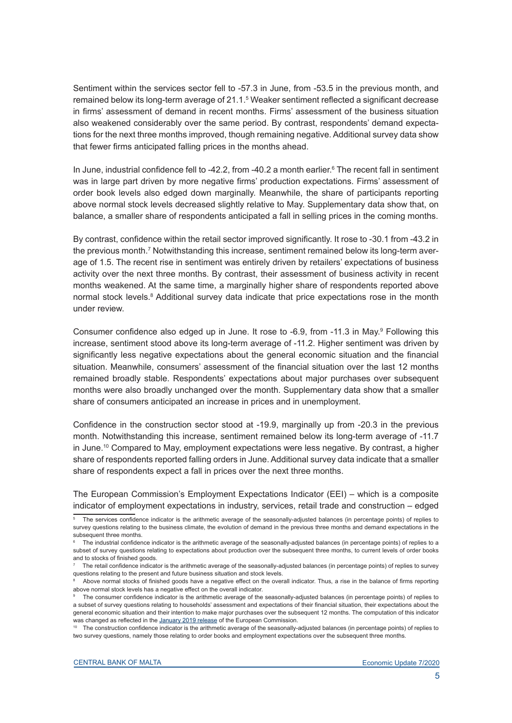Sentiment within the services sector fell to -57.3 in June, from -53.5 in the previous month, and remained below its long-term average of 21.1.5 Weaker sentiment reflected a significant decrease in firms' assessment of demand in recent months. Firms' assessment of the business situation also weakened considerably over the same period. By contrast, respondents' demand expectations for the next three months improved, though remaining negative. Additional survey data show that fewer firms anticipated falling prices in the months ahead.

In June, industrial confidence fell to -42.2, from -40.2 a month earlier.<sup>6</sup> The recent fall in sentiment was in large part driven by more negative firms' production expectations. Firms' assessment of order book levels also edged down marginally. Meanwhile, the share of participants reporting above normal stock levels decreased slightly relative to May. Supplementary data show that, on balance, a smaller share of respondents anticipated a fall in selling prices in the coming months.

By contrast, confidence within the retail sector improved significantly. It rose to -30.1 from -43.2 in the previous month.<sup>7</sup> Notwithstanding this increase, sentiment remained below its long-term average of 1.5. The recent rise in sentiment was entirely driven by retailers' expectations of business activity over the next three months. By contrast, their assessment of business activity in recent months weakened. At the same time, a marginally higher share of respondents reported above normal stock levels.<sup>8</sup> Additional survey data indicate that price expectations rose in the month under review.

Consumer confidence also edged up in June. It rose to -6.9, from -11.3 in May.<sup>9</sup> Following this increase, sentiment stood above its long-term average of -11.2. Higher sentiment was driven by significantly less negative expectations about the general economic situation and the financial situation. Meanwhile, consumers' assessment of the financial situation over the last 12 months remained broadly stable. Respondents' expectations about major purchases over subsequent months were also broadly unchanged over the month. Supplementary data show that a smaller share of consumers anticipated an increase in prices and in unemployment.

Confidence in the construction sector stood at -19.9, marginally up from -20.3 in the previous month. Notwithstanding this increase, sentiment remained below its long-term average of -11.7 in June.10 Compared to May, employment expectations were less negative. By contrast, a higher share of respondents reported falling orders in June. Additional survey data indicate that a smaller share of respondents expect a fall in prices over the next three months.

The European Commission's Employment Expectations Indicator (EEI) – which is a composite indicator of employment expectations in industry, services, retail trade and construction – edged

<sup>5</sup> The services confidence indicator is the arithmetic average of the seasonally-adjusted balances (in percentage points) of replies to survey questions relating to the business climate, the evolution of demand in the previous three months and demand expectations in the subsequent three months.

<sup>6</sup> The industrial confidence indicator is the arithmetic average of the seasonally-adjusted balances (in percentage points) of replies to a subset of survey questions relating to expectations about production over the subsequent three months, to current levels of order books and to stocks of finished goods.

<sup>7</sup> The retail confidence indicator is the arithmetic average of the seasonally-adjusted balances (in percentage points) of replies to survey questions relating to the present and future business situation and stock levels.

<sup>8</sup> Above normal stocks of finished goods have a negative effect on the overall indicator. Thus, a rise in the balance of firms reporting above normal stock levels has a negative effect on the overall indicator.

<sup>9</sup> The consumer confidence indicator is the arithmetic average of the seasonally-adjusted balances (in percentage points) of replies to a subset of survey questions relating to households' assessment and expectations of their financial situation, their expectations about the general economic situation and their intention to make major purchases over the subsequent 12 months. The computation of this indicator was changed as reflected in the [January 2019 release](https://ec.europa.eu/info/sites/info/files/esi_2019_01_en.pdf) of the European Commission.

<sup>10</sup> The construction confidence indicator is the arithmetic average of the seasonally-adjusted balances (in percentage points) of replies to two survey questions, namely those relating to order books and employment expectations over the subsequent three months.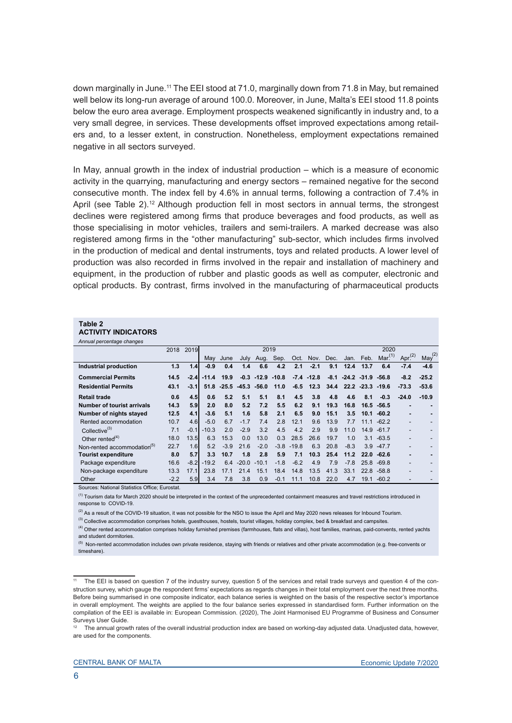down marginally in June.<sup>11</sup> The EEI stood at 71.0, marginally down from 71.8 in May, but remained well below its long-run average of around 100.0. Moreover, in June, Malta's EEI stood 11.8 points below the euro area average. Employment prospects weakened significantly in industry and, to a very small degree, in services. These developments offset improved expectations among retailers and, to a lesser extent, in construction. Nonetheless, employment expectations remained negative in all sectors surveyed.

In May, annual growth in the index of industrial production – which is a measure of economic activity in the quarrying, manufacturing and energy sectors – remained negative for the second consecutive month. The index fell by 4.6% in annual terms, following a contraction of 7.4% in April (see Table  $2)$ .<sup>12</sup> Although production fell in most sectors in annual terms, the strongest declines were registered among firms that produce beverages and food products, as well as those specialising in motor vehicles, trailers and semi-trailers. A marked decrease was also registered among firms in the "other manufacturing" sub-sector, which includes firms involved in the production of medical and dental instruments, toys and related products. A lower level of production was also recorded in firms involved in the repair and installation of machinery and equipment, in the production of rubber and plastic goods as well as computer, electronic and optical products. By contrast, firms involved in the manufacturing of pharmaceutical products

#### **Table 2 ACTIVITY INDICATORS**

|  |  | AVIIVII I INDIVATURU |
|--|--|----------------------|
|  |  |                      |

| Annual percentage changes               |        |        |         |                             |         |         |         |         |               |        |        |                |                    |           |                    |
|-----------------------------------------|--------|--------|---------|-----------------------------|---------|---------|---------|---------|---------------|--------|--------|----------------|--------------------|-----------|--------------------|
|                                         | 2018   | 2019   |         |                             |         | 2019    |         |         |               | 2020   |        |                |                    |           |                    |
|                                         |        |        | May     | June                        | July    | Aug.    | Sep.    | Oct.    | Nov. Dec.     |        | Jan.   | Feb.           | Mar <sup>(1)</sup> | Apr $(2)$ | $\text{May}^{(2)}$ |
| Industrial production                   | 1.3    | 1.4    | $-0.9$  | 0.4                         | 1.4     | 6.6     | 4.2     | 2.1     | $-2.1$        | 9.1    | 12.4   | 13.7           | 6.4                | $-7.4$    | $-4.6$             |
| <b>Commercial Permits</b>               | 14.5   | $-2.4$ | $-11.4$ | 19.9                        | $-0.3$  | $-12.9$ | $-10.8$ |         | $-7.4 - 12.8$ | $-8.1$ |        | $-24.2 - 31.9$ | $-56.8$            | $-8.2$    | $-25.2$            |
| <b>Residential Permits</b>              | 43.1   | $-3.1$ |         | $51.8 - 25.5 - 45.3 - 56.0$ |         |         | 11.0    | $-6.5$  | 12.3          | 34.4   |        | $22.2 - 23.3$  | $-19.6$            | $-73.3$   | $-53.6$            |
| <b>Retail trade</b>                     | 0.6    | 4.5    | 0.6     | 5.2                         | 5.1     | 5.1     | 8.1     | 4.5     | 3.8           | 4.8    | 4.6    | 8.1            | $-0.3$             | $-24.0$   | $-10.9$            |
| Number of tourist arrivals              | 14.3   | 5.9    | 2.0     | 8.0                         | 5.2     | 7.2     | 5.5     | 6.2     | 9.1           | 19.3   | 16.8   | 16.5           | $-56.5$            |           |                    |
| Number of nights stayed                 | 12.5   | 4.1    | $-3.6$  | 5.1                         | 1.6     | 5.8     | 2.1     | 6.5     | 9.0           | 15.1   | 3.5    | 10.1           | $-60.2$            |           | -                  |
| Rented accommodation                    | 10.7   | 4.6    | $-5.0$  | 6.7                         | $-1.7$  | 7.4     | 2.8     | 12.1    | 9.6           | 13.9   | 7.7    | 11.1           | $-62.2$            |           |                    |
| Collective <sup>(3)</sup>               | 7.1    | $-0.1$ | $-10.3$ | 2.0                         | $-2.9$  | 3.2     | 4.5     | 4.2     | 2.9           | 9.9    | 11.0   | 14.9           | $-61.7$            |           |                    |
| Other rented $(4)$                      | 18.0   | 13.5   | 6.3     | 15.3                        | 0.0     | 13.0    | 0.3     | 28.5    | 26.6          | 19.7   | 1.0    | 3.1            | $-63.5$            |           |                    |
| Non-rented accommodation <sup>(5)</sup> | 22.7   | 1.6    | 5.2     | $-3.9$                      | 21.6    | $-2.0$  | $-3.8$  | $-19.8$ | 6.3           | 20.8   | $-8.3$ | 3.9            | $-47.7$            |           |                    |
| <b>Tourist expenditure</b>              | 8.0    | 5.7    | 3.3     | 10.7                        | 1.8     | 2.8     | 5.9     | 7.1     | 10.3          | 25.4   | 11.2   | 22.0           | $-62.6$            |           |                    |
| Package expenditure                     | 16.6   | $-8.2$ | $-19.2$ | 6.4                         | $-20.0$ | $-10.1$ | $-1.8$  | $-6.2$  | 4.9           | 7.9    | $-7.8$ | 25.8           | $-69.8$            |           |                    |
| Non-package expenditure                 | 13.3   | 17.1   | 23.8    | 17.1                        | 21.4    | 15.1    | 18.4    | 14.8    | 13.5          | 41.3   | 33.1   | 22.8           | $-58.8$            |           |                    |
| Other                                   | $-2.2$ | 5.9    | 3.4     | 7.8                         | 3.8     | 0.9     | $-0.1$  | 11.1    | 10.8          | 22.0   | 4.7    | 19.1           | $-60.2$            |           |                    |

Sources: National Statistics Office; Eurostat.

<sup>(1)</sup> Tourism data for March 2020 should be interpreted in the context of the unprecedented containment measures and travel restrictions introduced in response to COVID-19.

 $(2)$  As a result of the COVID-19 situation, it was not possible for the NSO to issue the April and May 2020 news releases for Inbound Tourism

<sup>(3)</sup> Collective accommodation comprises hotels, guesthouses, hostels, tourist villages, holiday complex, bed & breakfast and campsites.

<sup>(4)</sup> Other rented accommodation comprises holiday furnished premises (farmhouses, flats and villas), host families, marinas, paid-convents, rented yachts and student dormitories.

<sup>(5)</sup> Non-rented accommodation includes own private residence, staying with friends or relatives and other private accommodation (e.g. free-convents or timeshare).

<sup>11</sup> The EEI is based on question 7 of the industry survey, question 5 of the services and retail trade surveys and question 4 of the construction survey, which gauge the respondent firms' expectations as regards changes in their total employment over the next three months. Before being summarised in one composite indicator, each balance series is weighted on the basis of the respective sector's importance in overall employment. The weights are applied to the four balance series expressed in standardised form. Further information on the compilation of the EEI is available in: European Commission. (2020), The Joint Harmonised EU Programme of Business and Consumer Surveys User Guide.

<sup>&</sup>lt;sup>12</sup> The annual growth rates of the overall industrial production index are based on working-day adjusted data. Unadjusted data, however, are used for the components.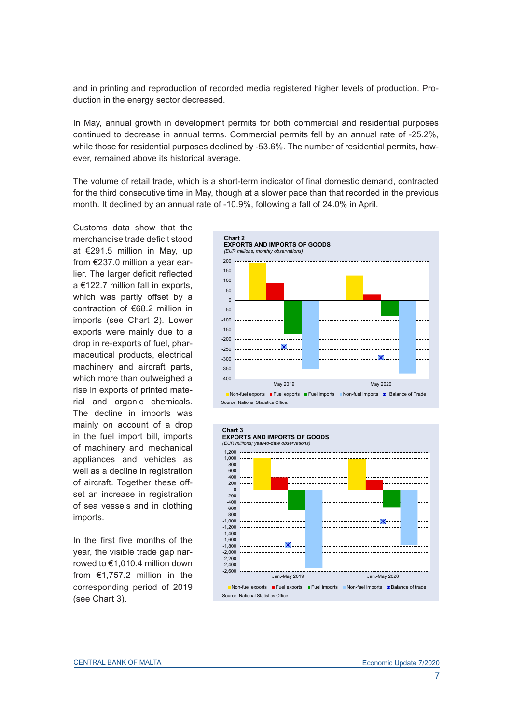and in printing and reproduction of recorded media registered higher levels of production. Production in the energy sector decreased.

In May, annual growth in development permits for both commercial and residential purposes continued to decrease in annual terms. Commercial permits fell by an annual rate of -25.2%, while those for residential purposes declined by -53.6%. The number of residential permits, however, remained above its historical average.

The volume of retail trade, which is a short-term indicator of final domestic demand, contracted for the third consecutive time in May, though at a slower pace than that recorded in the previous month. It declined by an annual rate of -10.9%, following a fall of 24.0% in April.

Customs data show that the merchandise trade deficit stood at €291.5 million in May, up from €237.0 million a year earlier. The larger deficit reflected a €122.7 million fall in exports, which was partly offset by a contraction of €68.2 million in imports (see Chart 2). Lower exports were mainly due to a drop in re-exports of fuel, pharmaceutical products, electrical machinery and aircraft parts, which more than outweighed a rise in exports of printed material and organic chemicals. The decline in imports was mainly on account of a drop in the fuel import bill, imports of machinery and mechanical appliances and vehicles as well as a decline in registration of aircraft. Together these offset an increase in registration of sea vessels and in clothing imports.

In the first five months of the year, the visible trade gap narrowed to €1,010.4 million down from €1,757.2 million in the corresponding period of 2019 (see Chart 3).



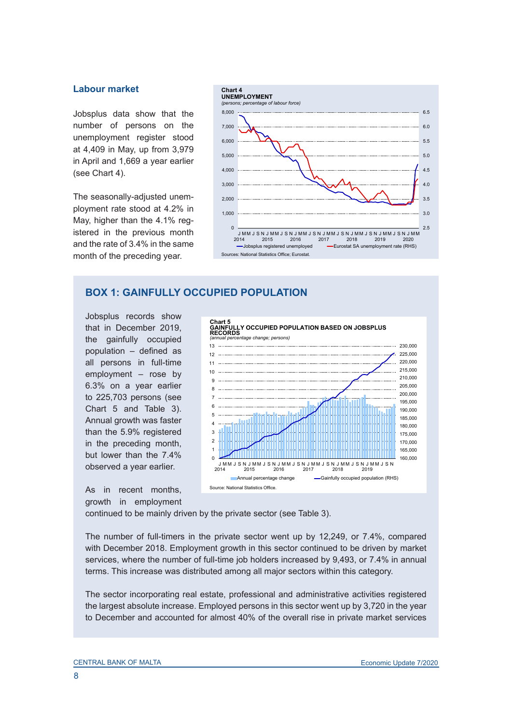#### **Labour market**

Jobsplus data show that the number of persons on the unemployment register stood at 4,409 in May, up from 3,979 in April and 1,669 a year earlier (see Chart 4).

The seasonally-adjusted unemployment rate stood at 4.2% in May, higher than the 4.1% registered in the previous month and the rate of 3.4% in the same month of the preceding year.



# **BOX 1: GAINFULLY OCCUPIED POPULATION**

Jobsplus records show that in December 2019, the gainfully occupied population – defined as all persons in full-time employment – rose by 6.3% on a year earlier to 225,703 persons (see Chart 5 and Table 3). Annual growth was faster than the 5.9% registered in the preceding month, but lower than the 7.4% observed a year earlier.

As in recent months, growth in employment



continued to be mainly driven by the private sector (see Table 3).

The number of full-timers in the private sector went up by 12,249, or 7.4%, compared with December 2018. Employment growth in this sector continued to be driven by market services, where the number of full-time job holders increased by 9,493, or 7.4% in annual terms. This increase was distributed among all major sectors within this category.

The sector incorporating real estate, professional and administrative activities registered the largest absolute increase. Employed persons in this sector went up by 3,720 in the year to December and accounted for almost 40% of the overall rise in private market services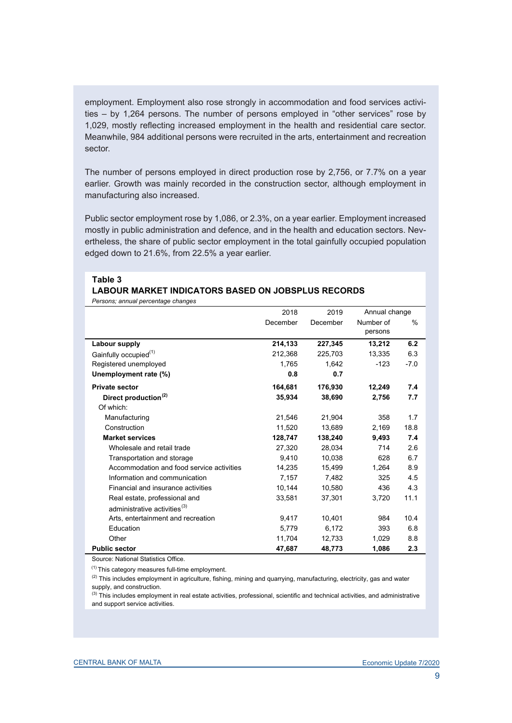employment. Employment also rose strongly in accommodation and food services activities – by 1,264 persons. The number of persons employed in "other services" rose by 1,029, mostly reflecting increased employment in the health and residential care sector. Meanwhile, 984 additional persons were recruited in the arts, entertainment and recreation sector.

The number of persons employed in direct production rose by 2,756, or 7.7% on a year earlier. Growth was mainly recorded in the construction sector, although employment in manufacturing also increased.

Public sector employment rose by 1,086, or 2.3%, on a year earlier. Employment increased mostly in public administration and defence, and in the health and education sectors. Nevertheless, the share of public sector employment in the total gainfully occupied population edged down to 21.6%, from 22.5% a year earlier.

#### **Table 3** *Persons; annual percentage changes* **LABOUR MARKET INDICATORS BASED ON JOBSPLUS RECORDS**

|                                           | 2018     | 2019     | Annual change        |        |
|-------------------------------------------|----------|----------|----------------------|--------|
|                                           | December | December | Number of<br>persons | $\%$   |
| Labour supply                             | 214,133  | 227,345  | 13,212               | 6.2    |
| Gainfully occupied <sup>(1)</sup>         | 212.368  | 225,703  | 13.335               | 6.3    |
| Registered unemployed                     | 1,765    | 1,642    | $-123$               | $-7.0$ |
| Unemployment rate (%)                     | 0.8      | 0.7      |                      |        |
| <b>Private sector</b>                     | 164.681  | 176,930  | 12,249               | 7.4    |
| Direct production <sup>(2)</sup>          | 35.934   | 38,690   | 2.756                | 7.7    |
| Of which:                                 |          |          |                      |        |
| Manufacturing                             | 21,546   | 21,904   | 358                  | 1.7    |
| Construction                              | 11.520   | 13.689   | 2,169                | 18.8   |
| <b>Market services</b>                    | 128,747  | 138,240  | 9,493                | 7.4    |
| Wholesale and retail trade                | 27.320   | 28.034   | 714                  | 2.6    |
| Transportation and storage                | 9.410    | 10,038   | 628                  | 6.7    |
| Accommodation and food service activities | 14,235   | 15,499   | 1,264                | 8.9    |
| Information and communication             | 7.157    | 7.482    | 325                  | 4.5    |
| Financial and insurance activities        | 10.144   | 10.580   | 436                  | 4.3    |
| Real estate, professional and             | 33,581   | 37,301   | 3,720                | 11.1   |
| administrative activities <sup>(3)</sup>  |          |          |                      |        |
| Arts, entertainment and recreation        | 9,417    | 10,401   | 984                  | 10.4   |
| Education                                 | 5,779    | 6,172    | 393                  | 6.8    |
| Other                                     | 11,704   | 12,733   | 1,029                | 8.8    |
| <b>Public sector</b>                      | 47,687   | 48,773   | 1,086                | 2.3    |

Source: National Statistics Office.

 $(1)$  This category measures full-time employment.

 $(2)$  This includes employment in agriculture, fishing, mining and quarrying, manufacturing, electricity, gas and water supply, and construction.

<sup>(3)</sup> This includes employment in real estate activities, professional, scientific and technical activities, and administrative and support service activities.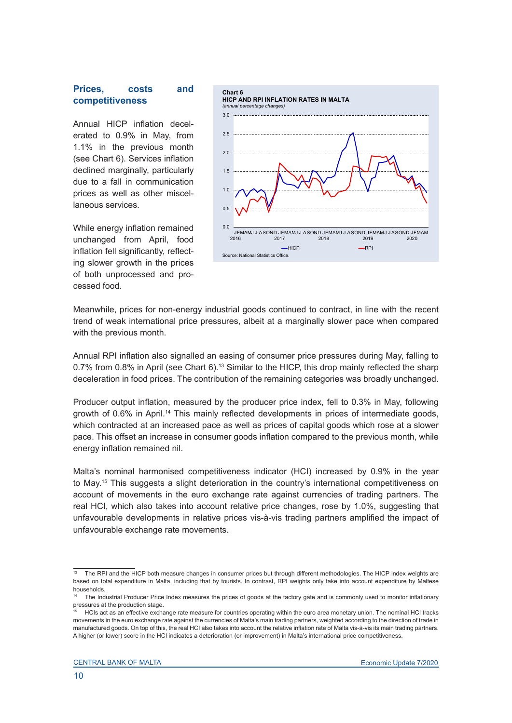#### **Prices, costs and competitiveness**

Annual HICP inflation decelerated to 0.9% in May, from 1.1% in the previous month (see Chart 6). Services inflation declined marginally, particularly due to a fall in communication prices as well as other miscellaneous services.

While energy inflation remained unchanged from April, food inflation fell significantly, reflecting slower growth in the prices of both unprocessed and processed food.



Meanwhile, prices for non-energy industrial goods continued to contract, in line with the recent trend of weak international price pressures, albeit at a marginally slower pace when compared with the previous month.

Annual RPI inflation also signalled an easing of consumer price pressures during May, falling to 0.7% from 0.8% in April (see Chart 6).13 Similar to the HICP, this drop mainly reflected the sharp deceleration in food prices. The contribution of the remaining categories was broadly unchanged.

Producer output inflation, measured by the producer price index, fell to 0.3% in May, following growth of 0.6% in April.14 This mainly reflected developments in prices of intermediate goods, which contracted at an increased pace as well as prices of capital goods which rose at a slower pace. This offset an increase in consumer goods inflation compared to the previous month, while energy inflation remained nil.

Malta's nominal harmonised competitiveness indicator (HCI) increased by 0.9% in the year to May.15 This suggests a slight deterioration in the country's international competitiveness on account of movements in the euro exchange rate against currencies of trading partners. The real HCI, which also takes into account relative price changes, rose by 1.0%, suggesting that unfavourable developments in relative prices vis-à-vis trading partners amplified the impact of unfavourable exchange rate movements.

The RPI and the HICP both measure changes in consumer prices but through different methodologies. The HICP index weights are based on total expenditure in Malta, including that by tourists. In contrast, RPI weights only take into account expenditure by Maltese households.

The Industrial Producer Price Index measures the prices of goods at the factory gate and is commonly used to monitor inflationary pressures at the production stage.

HCIs act as an effective exchange rate measure for countries operating within the euro area monetary union. The nominal HCI tracks movements in the euro exchange rate against the currencies of Malta's main trading partners, weighted according to the direction of trade in manufactured goods. On top of this, the real HCI also takes into account the relative inflation rate of Malta vis-à-vis its main trading partners. A higher (or lower) score in the HCI indicates a deterioration (or improvement) in Malta's international price competitiveness.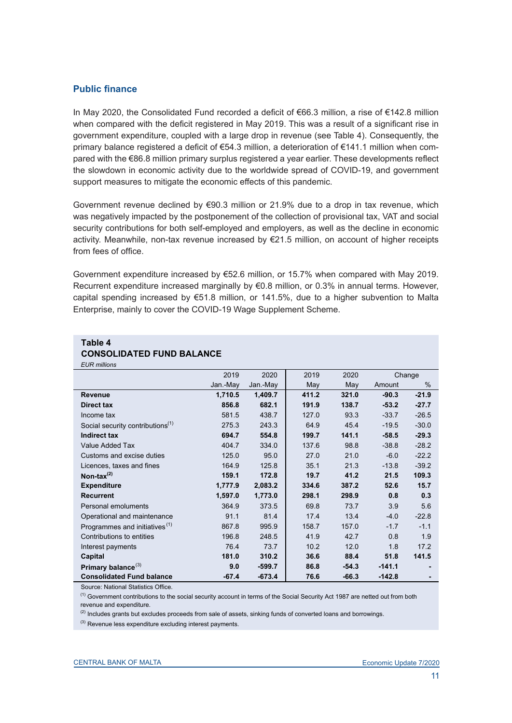# **Public finance**

In May 2020, the Consolidated Fund recorded a deficit of €66.3 million, a rise of €142.8 million when compared with the deficit registered in May 2019. This was a result of a significant rise in government expenditure, coupled with a large drop in revenue (see Table 4). Consequently, the primary balance registered a deficit of €54.3 million, a deterioration of €141.1 million when compared with the €86.8 million primary surplus registered a year earlier. These developments reflect the slowdown in economic activity due to the worldwide spread of COVID-19, and government support measures to mitigate the economic effects of this pandemic.

Government revenue declined by €90.3 million or 21.9% due to a drop in tax revenue, which was negatively impacted by the postponement of the collection of provisional tax, VAT and social security contributions for both self-employed and employers, as well as the decline in economic activity. Meanwhile, non-tax revenue increased by €21.5 million, on account of higher receipts from fees of office.

Government expenditure increased by €52.6 million, or 15.7% when compared with May 2019. Recurrent expenditure increased marginally by €0.8 million, or 0.3% in annual terms. However, capital spending increased by €51.8 million, or 141.5%, due to a higher subvention to Malta Enterprise, mainly to cover the COVID-19 Wage Supplement Scheme.

| LUI\ IIIIIIUIIS                              |          |          |       |         |          |         |
|----------------------------------------------|----------|----------|-------|---------|----------|---------|
|                                              | 2019     | 2020     | 2019  | 2020    |          | Change  |
|                                              | Jan.-May | Jan.-May | May   | May     | Amount   | %       |
| <b>Revenue</b>                               | 1,710.5  | 1,409.7  | 411.2 | 321.0   | $-90.3$  | $-21.9$ |
| Direct tax                                   | 856.8    | 682.1    | 191.9 | 138.7   | $-53.2$  | $-27.7$ |
| Income tax                                   | 581.5    | 438.7    | 127.0 | 93.3    | $-33.7$  | $-26.5$ |
| Social security contributions <sup>(1)</sup> | 275.3    | 243.3    | 64.9  | 45.4    | $-19.5$  | $-30.0$ |
| <b>Indirect tax</b>                          | 694.7    | 554.8    | 199.7 | 141.1   | $-58.5$  | $-29.3$ |
| Value Added Tax                              | 404.7    | 334.0    | 137.6 | 98.8    | $-38.8$  | $-28.2$ |
| Customs and excise duties                    | 125.0    | 95.0     | 27.0  | 21.0    | $-6.0$   | $-22.2$ |
| Licences, taxes and fines                    | 164.9    | 125.8    | 35.1  | 21.3    | $-13.8$  | $-39.2$ |
| Non-tax $^{(2)}$                             | 159.1    | 172.8    | 19.7  | 41.2    | 21.5     | 109.3   |
| <b>Expenditure</b>                           | 1,777.9  | 2,083.2  | 334.6 | 387.2   | 52.6     | 15.7    |
| <b>Recurrent</b>                             | 1,597.0  | 1,773.0  | 298.1 | 298.9   | 0.8      | 0.3     |
| Personal emoluments                          | 364.9    | 373.5    | 69.8  | 73.7    | 3.9      | 5.6     |
| Operational and maintenance                  | 91.1     | 81.4     | 17.4  | 13.4    | $-4.0$   | $-22.8$ |
| Programmes and initiatives <sup>(1)</sup>    | 867.8    | 995.9    | 158.7 | 157.0   | $-1.7$   | $-1.1$  |
| Contributions to entities                    | 196.8    | 248.5    | 41.9  | 42.7    | 0.8      | 1.9     |
| Interest payments                            | 76.4     | 73.7     | 10.2  | 12.0    | 1.8      | 17.2    |
| Capital                                      | 181.0    | 310.2    | 36.6  | 88.4    | 51.8     | 141.5   |
| Primary balance <sup>(3)</sup>               | 9.0      | $-599.7$ | 86.8  | $-54.3$ | $-141.1$ |         |
| <b>Consolidated Fund balance</b>             | $-67.4$  | $-673.4$ | 76.6  | $-66.3$ | $-142.8$ |         |

### **Table 4 CONSOLIDATED FUND BALANCE**

*EUR millions*

Source: National Statistics Office.

(1) Government contributions to the social security account in terms of the Social Security Act 1987 are netted out from both revenue and expenditure.

<sup>(2)</sup> Includes grants but excludes proceeds from sale of assets, sinking funds of converted loans and borrowings.

(3) Revenue less expenditure excluding interest payments.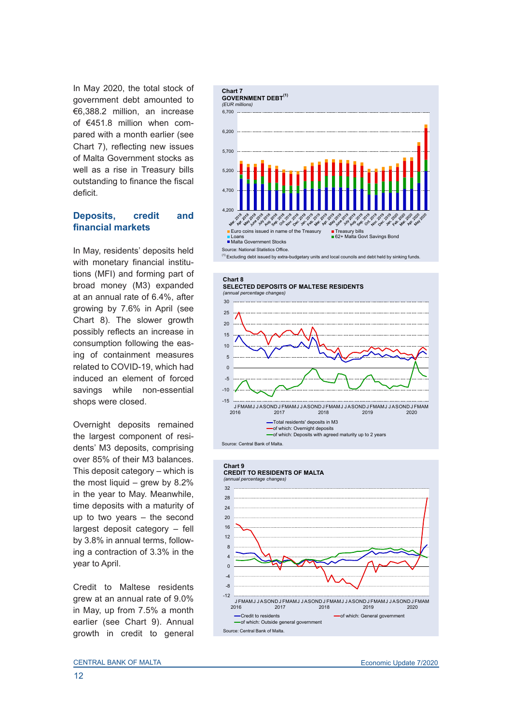In May 2020, the total stock of government debt amounted to €6,388.2 million, an increase of €451.8 million when compared with a month earlier (see Chart 7), reflecting new issues of Malta Government stocks as well as a rise in Treasury bills outstanding to finance the fiscal deficit.

### **Deposits, credit and financial markets**

In May, residents' deposits held with monetary financial institutions (MFI) and forming part of broad money (M3) expanded at an annual rate of 6.4%, after growing by 7.6% in April (see Chart 8). The slower growth possibly reflects an increase in consumption following the easing of containment measures related to COVID-19, which had induced an element of forced savings while non-essential shops were closed.

Overnight deposits remained the largest component of residents' M3 deposits, comprising over 85% of their M3 balances. This deposit category – which is the most liquid – grew by 8.2% in the year to May. Meanwhile, time deposits with a maturity of up to two years – the second largest deposit category – fell by 3.8% in annual terms, following a contraction of 3.3% in the year to April.

Credit to Maltese residents grew at an annual rate of 9.0% in May, up from 7.5% a month earlier (see Chart 9). Annual growth in credit to general





#### **Chart 9 CREDIT TO RESIDENTS OF MALTA**<br>(annual percentage changes) *(annual percentage changes)*

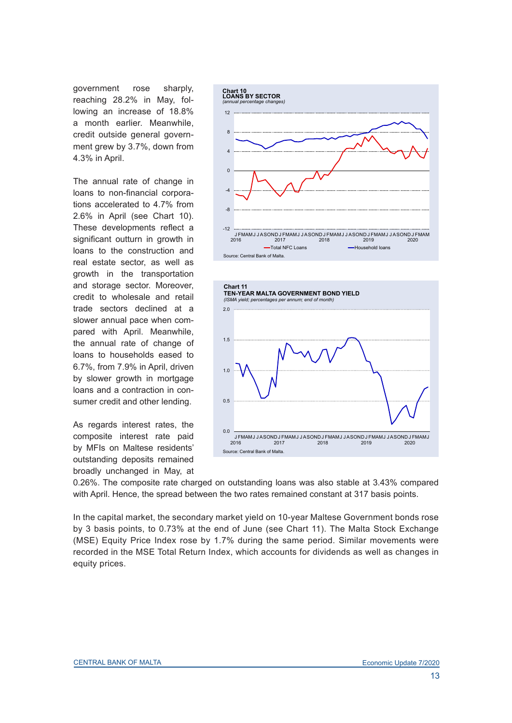government rose sharply, reaching 28.2% in May, following an increase of 18.8% a month earlier. Meanwhile, credit outside general government grew by 3.7%, down from 4.3% in April.

The annual rate of change in loans to non-financial corporations accelerated to 4.7% from 2.6% in April (see Chart 10). These developments reflect a significant outturn in growth in loans to the construction and real estate sector, as well as growth in the transportation and storage sector. Moreover, credit to wholesale and retail trade sectors declined at a slower annual pace when compared with April. Meanwhile, the annual rate of change of loans to households eased to 6.7%, from 7.9% in April, driven by slower growth in mortgage loans and a contraction in consumer credit and other lending.

As regards interest rates, the composite interest rate paid by MFIs on Maltese residents' outstanding deposits remained broadly unchanged in May, at





0.26%. The composite rate charged on outstanding loans was also stable at 3.43% compared with April. Hence, the spread between the two rates remained constant at 317 basis points.

In the capital market, the secondary market yield on 10-year Maltese Government bonds rose by 3 basis points, to 0.73% at the end of June (see Chart 11). The Malta Stock Exchange (MSE) Equity Price Index rose by 1.7% during the same period. Similar movements were recorded in the MSE Total Return Index, which accounts for dividends as well as changes in equity prices.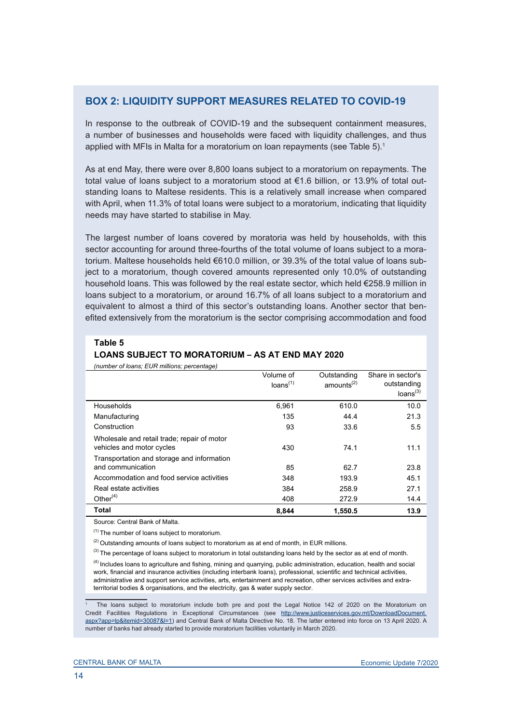# **BOX 2: LIQUIDITY SUPPORT MEASURES RELATED TO COVID-19**

In response to the outbreak of COVID-19 and the subsequent containment measures, a number of businesses and households were faced with liquidity challenges, and thus applied with MFIs in Malta for a moratorium on loan repayments (see Table 5).<sup>1</sup>

As at end May, there were over 8,800 loans subject to a moratorium on repayments. The total value of loans subject to a moratorium stood at €1.6 billion, or 13.9% of total outstanding loans to Maltese residents. This is a relatively small increase when compared with April, when 11.3% of total loans were subject to a moratorium, indicating that liquidity needs may have started to stabilise in May.

The largest number of loans covered by moratoria was held by households, with this sector accounting for around three-fourths of the total volume of loans subject to a moratorium. Maltese households held €610.0 million, or 39.3% of the total value of loans subject to a moratorium, though covered amounts represented only 10.0% of outstanding household loans. This was followed by the real estate sector, which held €258.9 million in loans subject to a moratorium, or around 16.7% of all loans subject to a moratorium and equivalent to almost a third of this sector's outstanding loans. Another sector that benefited extensively from the moratorium is the sector comprising accommodation and food

#### **Table 5**

### **LOANS SUBJECT TO MORATORIUM – AS AT END MAY 2020**

*(number of loans; EUR millions; percentage)*

|                                                                          | Volume of<br>loans <sup>(1)</sup> | Outstanding<br>amounts <sup>(2)</sup> | Share in sector's<br>outstanding<br>loans <sup>(3)</sup> |
|--------------------------------------------------------------------------|-----------------------------------|---------------------------------------|----------------------------------------------------------|
| Households                                                               | 6,961                             | 610.0                                 | 10.0                                                     |
| Manufacturing                                                            | 135                               | 44.4                                  | 21.3                                                     |
| Construction                                                             | 93                                | 33.6                                  | 5.5                                                      |
| Wholesale and retail trade; repair of motor<br>vehicles and motor cycles | 430                               | 74.1                                  | 11.1                                                     |
| Transportation and storage and information<br>and communication          | 85                                | 62.7                                  | 23.8                                                     |
| Accommodation and food service activities                                | 348                               | 193.9                                 | 45.1                                                     |
| Real estate activities                                                   | 384                               | 258.9                                 | 27.1                                                     |
| Other $(4)$                                                              | 408                               | 272.9                                 | 14.4                                                     |
| Total                                                                    | 8,844                             | 1.550.5                               | 13.9                                                     |

Source: Central Bank of Malta.

 $(1)$  The number of loans subject to moratorium.

 $(2)$  Outstanding amounts of loans subject to moratorium as at end of month, in EUR millions.

 $(3)$  The percentage of loans subject to moratorium in total outstanding loans held by the sector as at end of month.

(4) Includes loans to agriculture and fishing, mining and quarrying, public administration, education, health and social work, financial and insurance activities (including interbank loans), professional, scientific and technical activities, administrative and support service activities, arts, entertainment and recreation, other services activities and extraterritorial bodies & organisations, and the electricity, gas & water supply sector.

1 The loans subject to moratorium include both pre and post the Legal Notice 142 of 2020 on the Moratorium on Credit Facilities Regulations in Exceptional Circumstances (see [http://www.justiceservices.gov.mt/DownloadDocument.](http://www.justiceservices.gov.mt/DownloadDocument.aspx?app=lp&itemid=30087&l=1) [aspx?app=lp&itemid=30087&l=1](http://www.justiceservices.gov.mt/DownloadDocument.aspx?app=lp&itemid=30087&l=1)) and Central Bank of Malta Directive No. 18. The latter entered into force on 13 April 2020. A number of banks had already started to provide moratorium facilities voluntarily in March 2020.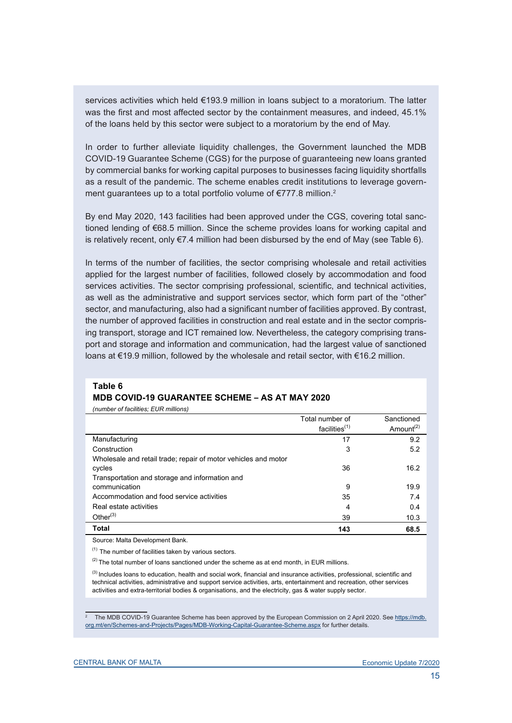services activities which held €193.9 million in loans subject to a moratorium. The latter was the first and most affected sector by the containment measures, and indeed, 45.1% of the loans held by this sector were subject to a moratorium by the end of May.

In order to further alleviate liquidity challenges, the Government launched the MDB COVID-19 Guarantee Scheme (CGS) for the purpose of guaranteeing new loans granted by commercial banks for working capital purposes to businesses facing liquidity shortfalls as a result of the pandemic. The scheme enables credit institutions to leverage government guarantees up to a total portfolio volume of €777.8 million.2

By end May 2020, 143 facilities had been approved under the CGS, covering total sanctioned lending of €68.5 million. Since the scheme provides loans for working capital and is relatively recent, only  $E7.4$  million had been disbursed by the end of May (see Table 6).

In terms of the number of facilities, the sector comprising wholesale and retail activities applied for the largest number of facilities, followed closely by accommodation and food services activities. The sector comprising professional, scientific, and technical activities, as well as the administrative and support services sector, which form part of the "other" sector, and manufacturing, also had a significant number of facilities approved. By contrast, the number of approved facilities in construction and real estate and in the sector comprising transport, storage and ICT remained low. Nevertheless, the category comprising transport and storage and information and communication, had the largest value of sanctioned loans at €19.9 million, followed by the wholesale and retail sector, with €16.2 million.

### **Table 6 MDB COVID-19 GUARANTEE SCHEME – AS AT MAY 2020**

*(number of facilities; EUR millions)*

|                                                                | Total number of  | Sanctioned            |
|----------------------------------------------------------------|------------------|-----------------------|
|                                                                | facilities $(1)$ | Amount <sup>(2)</sup> |
| Manufacturing                                                  | 17               | 9.2                   |
| Construction                                                   | 3                | 5.2                   |
| Wholesale and retail trade; repair of motor vehicles and motor |                  |                       |
| cycles                                                         | 36               | 16.2                  |
| Transportation and storage and information and                 |                  |                       |
| communication                                                  | 9                | 19.9                  |
| Accommodation and food service activities                      | 35               | 7.4                   |
| Real estate activities                                         | 4                | 0.4                   |
| Other $(3)$                                                    | 39               | 10.3                  |
| Total                                                          | 143              | 68.5                  |

Source: Malta Development Bank.

 $(1)$  The number of facilities taken by various sectors.

 $(2)$  The total number of loans sanctioned under the scheme as at end month, in EUR millions.

<sup>(3)</sup> Includes loans to education, health and social work, financial and insurance activities, professional, scientific and technical activities, administrative and support service activities, arts, entertainment and recreation, other services activities and extra-territorial bodies & organisations, and the electricity, gas & water supply sector.

<sup>2</sup> The MDB COVID-19 Guarantee Scheme has been approved by the European Commission on 2 April 2020. See [https://mdb.](https://mdb.org.mt/en/Schemes-and-Projects/Pages/MDB-Working-Capital-Guarantee-Scheme.aspx) [org.mt/en/Schemes-and-Projects/Pages/MDB-Working-Capital-Guarantee-Scheme.aspx](https://mdb.org.mt/en/Schemes-and-Projects/Pages/MDB-Working-Capital-Guarantee-Scheme.aspx) for further details.